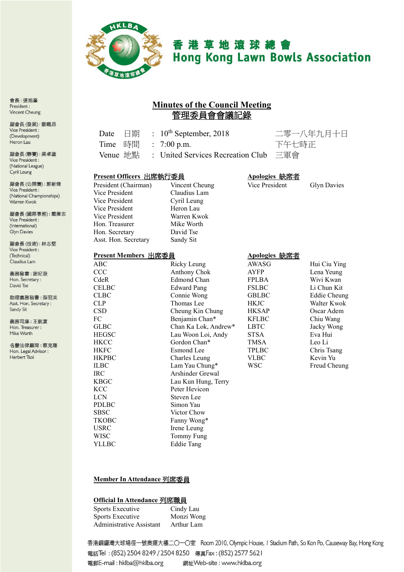

# 香港草地滾球總會 **Hong Kong Lawn Bowls Association**

# **Minutes of the Council Meeting** 管理委員會會議記錄

| 日期<br>Date              | $: 10^{th}$ September, 2018       | 二零一八年          |               |
|-------------------------|-----------------------------------|----------------|---------------|
| Time<br>時間              | : 7:00 p.m.                       | 下午七時正          |               |
| Venue 地點                | : United Services Recreation Club | 三軍會            |               |
| Present Officers 出席執行委員 |                                   | Apologies 缺席者  |               |
| President (Chairman)    | Vincent Cheung                    | Vice President | G             |
| Vice President          | Claudius Lam                      |                |               |
| Vice President          | Cyril Leung                       |                |               |
| Vice President          | Heron Lau                         |                |               |
| Vice President          | Warren Kwok                       |                |               |
| Hon. Treasurer          | Mike Worth                        |                |               |
| Hon. Secretary          | David Tse                         |                |               |
| Asst. Hon. Secretary    | Sandy Sit                         |                |               |
| Present Members 出席委員    |                                   | Apologies 缺席者  |               |
| ABC                     | Ricky Leung                       | AWASG          | H             |
| <b>CCC</b>              | Anthony Chok                      | AYFP           | L(            |
| CdeR                    | Edmond Chan                       | <b>FPLBA</b>   | W             |
| <b>CELBC</b>            | <b>Edward Pang</b>                | <b>FSLBC</b>   | Li            |
| <b>CLBC</b>             | Connie Wong                       | <b>GBLBC</b>   | E             |
| CLP                     | Thomas Lee                        | <b>HKJC</b>    | W             |
| <b>CSD</b>              | Cheung Kin Chung                  | <b>HKSAP</b>   | O             |
| FC                      | Benjamin Chan*                    | <b>KFLBC</b>   | $\mathcal{C}$ |
| <b>GLBC</b>             | Chan Ka Lok, Andrew*              | <b>LBTC</b>    | Ja            |
| <b>HEGSC</b>            | Lau Woon Loi, Andy                | STSA           | E,            |

名譽法律顧問:蔡克剛

、年九月十日

Glyn Davies

| ABC          | Ricky Leung          | AWASG        | Hui Ciu Ying |
|--------------|----------------------|--------------|--------------|
| CCC          | Anthony Chok         | AYFP         | Lena Yeung   |
| CdeR         | Edmond Chan          | <b>FPLBA</b> | Wivi Kwan    |
| <b>CELBC</b> | <b>Edward Pang</b>   | <b>FSLBC</b> | Li Chun Kit  |
| <b>CLBC</b>  | Connie Wong          | <b>GBLBC</b> | Eddie Cheung |
| <b>CLP</b>   | Thomas Lee           | <b>HKJC</b>  | Walter Kwok  |
| <b>CSD</b>   | Cheung Kin Chung     | <b>HKSAP</b> | Oscar Adem   |
| FC           | Benjamin Chan*       | <b>KFLBC</b> | Chiu Wang    |
| <b>GLBC</b>  | Chan Ka Lok, Andrew* | <b>LBTC</b>  | Jacky Wong   |
| <b>HEGSC</b> | Lau Woon Loi, Andy   | STSA         | Eva Hui      |
| <b>HKCC</b>  | Gordon Chan*         | TMSA         | Leo Li       |
| <b>HKFC</b>  | Esmond Lee           | <b>TPLBC</b> | Chris Tsang  |
| <b>HKPBC</b> | Charles Leung        | <b>VLBC</b>  | Kevin Yu     |
| <b>ILBC</b>  | Lam Yau Chung*       | <b>WSC</b>   | Freud Cheung |
| IRC.         | Arshinder Grewal     |              |              |
| <b>KBGC</b>  | Lau Kun Hung, Terry  |              |              |
| <b>KCC</b>   | Peter Hevicon        |              |              |
| <b>LCN</b>   | Steven Lee           |              |              |
| <b>PDLBC</b> | Simon Yau            |              |              |
| <b>SBSC</b>  | Victor Chow          |              |              |
| <b>TKOBC</b> | Fanny Wong*          |              |              |
| <b>USRC</b>  | Irene Leung          |              |              |
| WISC         | Tommy Fung           |              |              |
| YLLBC        | <b>Eddie Tang</b>    |              |              |
|              |                      |              |              |

#### **Member In Attendance** 列席委員

#### **Official In Attendance** 列席職員

| Sports Executive         | Cindy Lau  |
|--------------------------|------------|
| Sports Executive         | Monzi Wong |
| Administrative Assistant | Arthur Lam |

香港銅鑼灣大球場徑一號奧運大樓二〇一〇室 Room 2010, Olympic House, I Stadium Path, So Kon Po, Causeway Bay, Hong Kong 電話Tel: (852) 2504 8249 / 2504 8250 傳真Fax: (852) 2577 5621 電郵E-mail: hklba@hklba.org 網址Web-site: www.hklba.org

會長:張旭峯 President: Vincent Cheung

副會長(發展):劉曉昂 Vice President : (Development) Heron Lau

副會長(聯賽):梁卓雄 Vice President : (National League) Cyril Leung

副會長(公開賽): 郭新煒 Vice President : (National Championships) Warren Kwok

副會長(國際事務):戴偉志 Vice President : (International) **Glyn Davies** 

副會長(技術):林志堅 Vice President : (Technical) Claudius Lam

義務秘書:謝紀發 Hon. Secretary: David Tse

助理義務秘書:薛冠美 Asst. Hon. Secretary : Sandy Sit

義務司庫:王鋭富 Hon. Treasurer: Mike Worth

Hon. Legal Advisor : Herbert Tsoi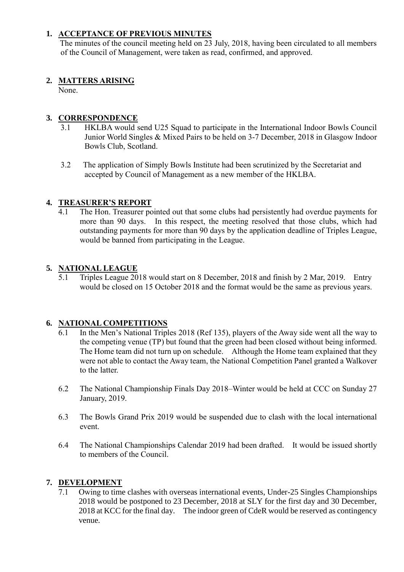### **1. ACCEPTANCE OF PREVIOUS MINUTES**

The minutes of the council meeting held on 23 July, 2018, having been circulated to all members of the Council of Management, were taken as read, confirmed, and approved.

### **2. MATTERS ARISING**

None.

## **3. CORRESPONDENCE**

- 3.1 HKLBA would send U25 Squad to participate in the International Indoor Bowls Council Junior World Singles & Mixed Pairs to be held on 3-7 December, 2018 in Glasgow Indoor Bowls Club, Scotland.
- 3.2 The application of Simply Bowls Institute had been scrutinized by the Secretariat and accepted by Council of Management as a new member of the HKLBA.

### **4. TREASURER'S REPORT**

4.1 The Hon. Treasurer pointed out that some clubs had persistently had overdue payments for more than 90 days. In this respect, the meeting resolved that those clubs, which had outstanding payments for more than 90 days by the application deadline of Triples League, would be banned from participating in the League.

### **5. NATIONAL LEAGUE**

5.1 Triples League 2018 would start on 8 December, 2018 and finish by 2 Mar, 2019. Entry would be closed on 15 October 2018 and the format would be the same as previous years.

#### **6. NATIONAL COMPETITIONS**

- 6.1 In the Men's National Triples 2018 (Ref 135), players of the Away side went all the way to the competing venue (TP) but found that the green had been closed without being informed. The Home team did not turn up on schedule. Although the Home team explained that they were not able to contact the Away team, the National Competition Panel granted a Walkover to the latter.
- 6.2 The National Championship Finals Day 2018–Winter would be held at CCC on Sunday 27 January, 2019.
- 6.3 The Bowls Grand Prix 2019 would be suspended due to clash with the local international event.
- 6.4 The National Championships Calendar 2019 had been drafted. It would be issued shortly to members of the Council.

#### **7. DEVELOPMENT**

7.1 Owing to time clashes with overseas international events, Under-25 Singles Championships 2018 would be postponed to 23 December, 2018 at SLY for the first day and 30 December, 2018 at KCC for the final day. The indoor green of CdeR would be reserved as contingency venue.